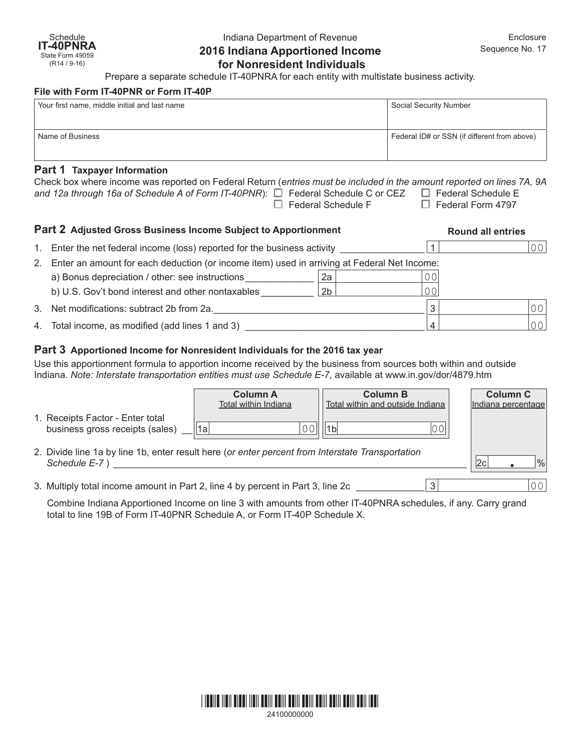# Indiana Department of Revenue **2016 Indiana Apportioned Income for Nonresident Individuals**

Prepare a separate schedule IT-40PNRA for each entity with multistate business activity.

#### **File with Form IT-40PNR or Form IT-40P**

| Your first name, middle initial and last name | Social Security Number                       |
|-----------------------------------------------|----------------------------------------------|
| Name of Business                              | Federal ID# or SSN (if different from above) |

# **Part 1 Taxpayer Information**

| Check box where income was reported on Federal Return (entries must be included in the amount reported on lines 7A, 9A |                           |                          |  |  |  |  |  |  |
|------------------------------------------------------------------------------------------------------------------------|---------------------------|--------------------------|--|--|--|--|--|--|
| and 12a through 16a of Schedule A of Form IT-40PNR): $\square$ Federal Schedule C or CEZ $\square$ Federal Schedule E  |                           |                          |  |  |  |  |  |  |
|                                                                                                                        | $\Box$ Federal Schedule F | $\Box$ Federal Form 4797 |  |  |  |  |  |  |

#### **Part 2 Adjusted Gross Business Income Subject to Apportionment Round all entries**

|    | 1. Enter the net federal income (loss) reported for the business activity                   |                |    |  |  |  |
|----|---------------------------------------------------------------------------------------------|----------------|----|--|--|--|
| 2. | Enter an amount for each deduction (or income item) used in arriving at Federal Net Income: |                |    |  |  |  |
|    | a) Bonus depreciation / other: see instructions                                             | 2a             | 00 |  |  |  |
|    | b) U.S. Gov't bond interest and other nontaxables                                           | 2 <sub>b</sub> | 00 |  |  |  |
|    | 3. Net modifications: subtract 2b from 2a.                                                  |                | ॽ  |  |  |  |
|    | 4. Total income, as modified (add lines 1 and 3)                                            |                |    |  |  |  |

# **Part 3 Apportioned Income for Nonresident Individuals for the 2016 tax year**

Use this apportionment formula to apportion income received by the business from sources both within and outside Indiana. *Note: Interstate transportation entities must use Schedule E-7*, available at [www.in.gov/dor/4879.htm](http://www.in.gov/dor/4570.htm)

|                                                                                                                   | <b>Column A</b><br>Total within Indiana | <b>Column B</b><br>Total within and outside Indiana | <b>Column C</b><br>Indiana percentage |
|-------------------------------------------------------------------------------------------------------------------|-----------------------------------------|-----------------------------------------------------|---------------------------------------|
| 1. Receipts Factor - Enter total<br>business gross receipts (sales)                                               | 1a                                      | ™1bl                                                |                                       |
| 2. Divide line 1a by line 1b, enter result here (or enter percent from Interstate Transportation<br>Schedule E-7) |                                         |                                                     | $\frac{0}{0}$<br> 2c                  |
| 3. Multiply total income amount in Part 2, line 4 by percent in Part 3, line 2c                                   |                                         | ◠                                                   |                                       |

Combine Indiana Apportioned Income on line 3 with amounts from other IT-40PNRA schedules, if any. Carry grand total to line 19B of Form IT-40PNR Schedule A, or Form IT-40P Schedule X.